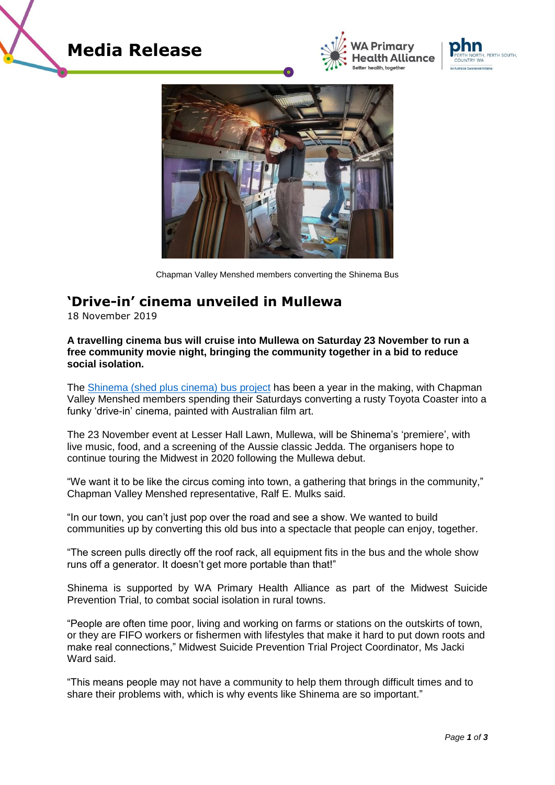







Chapman Valley Menshed members converting the Shinema Bus

## **'Drive-in' cinema unveiled in Mullewa**

18 November 2019

## **A travelling cinema bus will cruise into Mullewa on Saturday 23 November to run a free community movie night, bringing the community together in a bid to reduce social isolation.**

The [Shinema \(shed plus cinema\) bus project](https://www.cvms.org.au/shinema-bus-progress/) has been a year in the making, with Chapman Valley Menshed members spending their Saturdays converting a rusty Toyota Coaster into a funky 'drive-in' cinema, painted with Australian film art.

The 23 November event at Lesser Hall Lawn, Mullewa, will be Shinema's 'premiere', with live music, food, and a screening of the Aussie classic Jedda. The organisers hope to continue touring the Midwest in 2020 following the Mullewa debut.

"We want it to be like the circus coming into town, a gathering that brings in the community," Chapman Valley Menshed representative, Ralf E. Mulks said.

"In our town, you can't just pop over the road and see a show. We wanted to build communities up by converting this old bus into a spectacle that people can enjoy, together.

"The screen pulls directly off the roof rack, all equipment fits in the bus and the whole show runs off a generator. It doesn't get more portable than that!"

Shinema is supported by WA Primary Health Alliance as part of the Midwest Suicide Prevention Trial, to combat social isolation in rural towns.

"People are often time poor, living and working on farms or stations on the outskirts of town, or they are FIFO workers or fishermen with lifestyles that make it hard to put down roots and make real connections," Midwest Suicide Prevention Trial Project Coordinator, Ms Jacki Ward said.

"This means people may not have a community to help them through difficult times and to share their problems with, which is why events like Shinema are so important."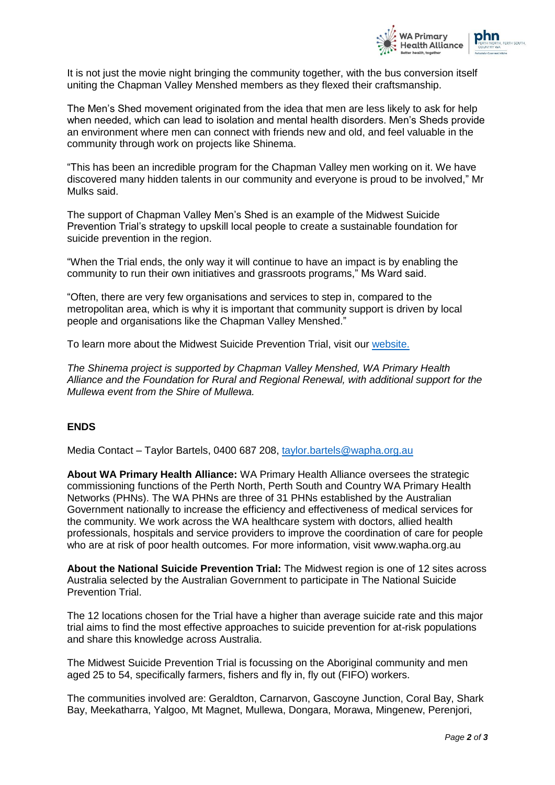

It is not just the movie night bringing the community together, with the bus conversion itself uniting the Chapman Valley Menshed members as they flexed their craftsmanship.

The Men's Shed movement originated from the idea that men are less likely to ask for help when needed, which can lead to isolation and mental health disorders. Men's Sheds provide an environment where men can connect with friends new and old, and feel valuable in the community through work on projects like Shinema.

"This has been an incredible program for the Chapman Valley men working on it. We have discovered many hidden talents in our community and everyone is proud to be involved," Mr Mulks said.

The support of Chapman Valley Men's Shed is an example of the Midwest Suicide Prevention Trial's strategy to upskill local people to create a sustainable foundation for suicide prevention in the region.

"When the Trial ends, the only way it will continue to have an impact is by enabling the community to run their own initiatives and grassroots programs," Ms Ward said.

"Often, there are very few organisations and services to step in, compared to the metropolitan area, which is why it is important that community support is driven by local people and organisations like the Chapman Valley Menshed."

To learn more about the Midwest Suicide Prevention Trial, visit our [website.](https://www.wapha.org.au/community/community-projects-and-stories/midwest-suicide-prevention-trial/)

*The Shinema project is supported by Chapman Valley Menshed, WA Primary Health Alliance and the Foundation for Rural and Regional Renewal, with additional support for the Mullewa event from the Shire of Mullewa.*

## **ENDS**

Media Contact – Taylor Bartels, 0400 687 208, [taylor.bartels@wapha.org.au](mailto:taylor.bartels@wapha.org.au)

**About WA Primary Health Alliance:** WA Primary Health Alliance oversees the strategic commissioning functions of the Perth North, Perth South and Country WA Primary Health Networks (PHNs). The WA PHNs are three of 31 PHNs established by the Australian Government nationally to increase the efficiency and effectiveness of medical services for the community. We work across the WA healthcare system with doctors, allied health professionals, hospitals and service providers to improve the coordination of care for people who are at risk of poor health outcomes. For more information, visit www.wapha.org.au

**About the National Suicide Prevention Trial:** The Midwest region is one of 12 sites across Australia selected by the Australian Government to participate in The National Suicide Prevention Trial.

The 12 locations chosen for the Trial have a higher than average suicide rate and this major trial aims to find the most effective approaches to suicide prevention for at-risk populations and share this knowledge across Australia.

The Midwest Suicide Prevention Trial is focussing on the Aboriginal community and men aged 25 to 54, specifically farmers, fishers and fly in, fly out (FIFO) workers.

The communities involved are: Geraldton, Carnarvon, Gascoyne Junction, Coral Bay, Shark Bay, Meekatharra, Yalgoo, Mt Magnet, Mullewa, Dongara, Morawa, Mingenew, Perenjori,